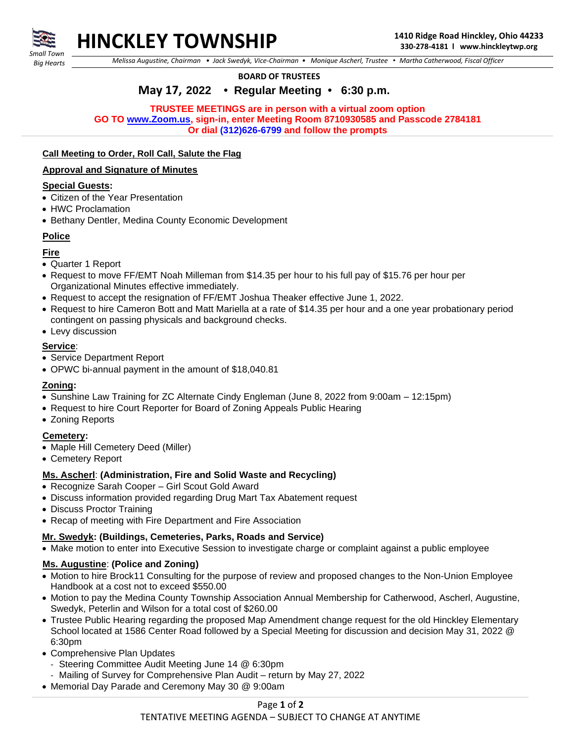

# **HINCKLEY TOWNSHIP 1410 Ridge Road Hinckley, Ohio 44233**

 *Big Hearts*

 *Melissa Augustine, Chairman • Jack Swedyk, Vice-Chairman • Monique Ascherl, Trustee • Martha Catherwood, Fiscal Officer*

#### **BOARD OF TRUSTEES**

# **May 17, 2022 • Regular Meeting • 6:30 p.m.**

**TRUSTEE MEETINGS are in person with a virtual zoom option GO TO [www.Zoom.us,](http://www.zoom.us/) sign-in, enter Meeting Room 8710930585 and Passcode 2784181 Or dial (312)626-6799 and follow the prompts**

#### **Call Meeting to Order, Roll Call, Salute the Flag**

#### **Approval and Signature of Minutes**

#### **Special Guests:**

- Citizen of the Year Presentation
- HWC Proclamation
- Bethany Dentler, Medina County Economic Development

#### **Police**

# **Fire**

- Quarter 1 Report
- Request to move FF/EMT Noah Milleman from \$14.35 per hour to his full pay of \$15.76 per hour per Organizational Minutes effective immediately.
- Request to accept the resignation of FF/EMT Joshua Theaker effective June 1, 2022.
- Request to hire Cameron Bott and Matt Mariella at a rate of \$14.35 per hour and a one year probationary period contingent on passing physicals and background checks.
- Levy discussion

# **Service**:

- Service Department Report
- OPWC bi-annual payment in the amount of \$18,040.81

#### **Zoning:**

- Sunshine Law Training for ZC Alternate Cindy Engleman (June 8, 2022 from 9:00am 12:15pm)
- Request to hire Court Reporter for Board of Zoning Appeals Public Hearing
- Zoning Reports

# **Cemetery:**

- Maple Hill Cemetery Deed (Miller)
- Cemetery Report

# **Ms. Ascherl**: **(Administration, Fire and Solid Waste and Recycling)**

- Recognize Sarah Cooper Girl Scout Gold Award
- Discuss information provided regarding Drug Mart Tax Abatement request
- Discuss Proctor Training
- Recap of meeting with Fire Department and Fire Association

# **Mr. Swedyk: (Buildings, Cemeteries, Parks, Roads and Service)**

• Make motion to enter into Executive Session to investigate charge or complaint against a public employee

# **Ms. Augustine**: **(Police and Zoning)**

- Motion to hire Brock11 Consulting for the purpose of review and proposed changes to the Non-Union Employee Handbook at a cost not to exceed \$550.00
- Motion to pay the Medina County Township Association Annual Membership for Catherwood, Ascherl, Augustine, Swedyk, Peterlin and Wilson for a total cost of \$260.00
- Trustee Public Hearing regarding the proposed Map Amendment change request for the old Hinckley Elementary School located at 1586 Center Road followed by a Special Meeting for discussion and decision May 31, 2022 @ 6:30pm
- Comprehensive Plan Updates
	- Steering Committee Audit Meeting June 14 @ 6:30pm
	- Mailing of Survey for Comprehensive Plan Audit return by May 27, 2022
- Memorial Day Parade and Ceremony May 30 @ 9:00am